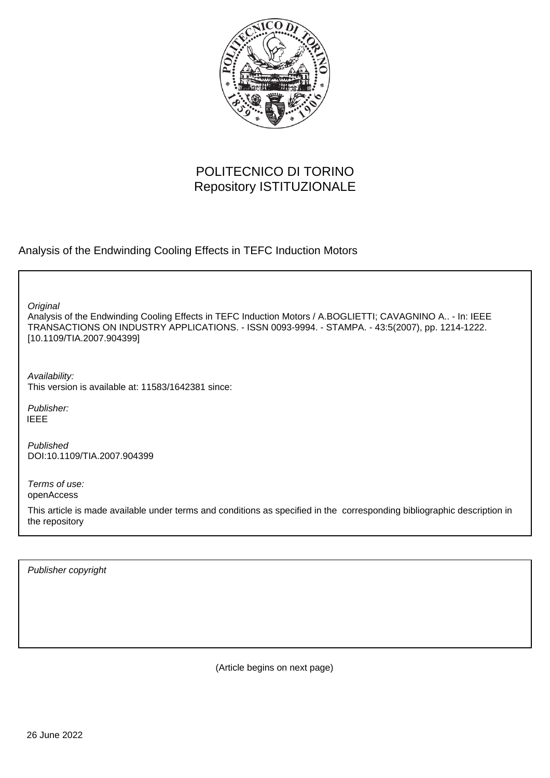

# POLITECNICO DI TORINO Repository ISTITUZIONALE

Analysis of the Endwinding Cooling Effects in TEFC Induction Motors

**Original** 

Analysis of the Endwinding Cooling Effects in TEFC Induction Motors / A.BOGLIETTI; CAVAGNINO A.. - In: IEEE TRANSACTIONS ON INDUSTRY APPLICATIONS. - ISSN 0093-9994. - STAMPA. - 43:5(2007), pp. 1214-1222. [10.1109/TIA.2007.904399]

Availability: This version is available at: 11583/1642381 since:

Publisher: IEEE

Published DOI:10.1109/TIA.2007.904399

Terms of use: openAccess

This article is made available under terms and conditions as specified in the corresponding bibliographic description in the repository

Publisher copyright

(Article begins on next page)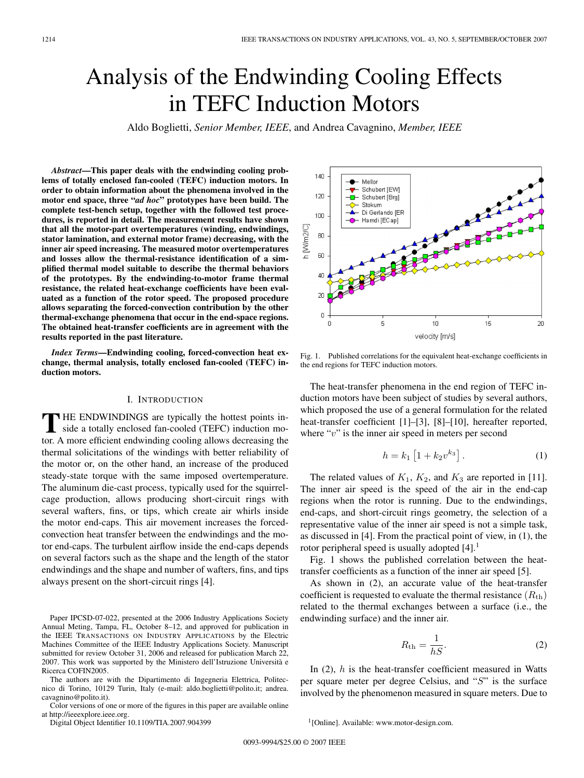# Analysis of the Endwinding Cooling Effects in TEFC Induction Motors

Aldo Boglietti, *Senior Member, IEEE*, and Andrea Cavagnino, *Member, IEEE*

*Abstract***—This paper deals with the endwinding cooling problems of totally enclosed fan-cooled (TEFC) induction motors. In order to obtain information about the phenomena involved in the motor end space, three "***ad hoc***" prototypes have been build. The complete test-bench setup, together with the followed test procedures, is reported in detail. The measurement results have shown that all the motor-part overtemperatures (winding, endwindings, stator lamination, and external motor frame) decreasing, with the inner air speed increasing. The measured motor overtemperatures and losses allow the thermal-resistance identification of a simplified thermal model suitable to describe the thermal behaviors of the prototypes. By the endwinding-to-motor frame thermal resistance, the related heat-exchange coefficients have been evaluated as a function of the rotor speed. The proposed procedure allows separating the forced-convection contribution by the other thermal-exchange phenomena that occur in the end-space regions. The obtained heat-transfer coefficients are in agreement with the results reported in the past literature.**

*Index Terms***—Endwinding cooling, forced-convection heat exchange, thermal analysis, totally enclosed fan-cooled (TEFC) induction motors.**

#### I. INTRODUCTION

**T** HE ENDWINDINGS are typically the hottest points inside a totally enclosed fan-cooled (TEFC) induction motor. A more efficient endwinding cooling allows decreasing the thermal solicitations of the windings with better reliability of the motor or, on the other hand, an increase of the produced steady-state torque with the same imposed overtemperature. The aluminum die-cast process, typically used for the squirrelcage production, allows producing short-circuit rings with several wafters, fins, or tips, which create air whirls inside the motor end-caps. This air movement increases the forcedconvection heat transfer between the endwindings and the motor end-caps. The turbulent airflow inside the end-caps depends on several factors such as the shape and the length of the stator endwindings and the shape and number of wafters, fins, and tips always present on the short-circuit rings [4].

Paper IPCSD-07-022, presented at the 2006 Industry Applications Society Annual Meting, Tampa, FL, October 8–12, and approved for publication in the IEEE TRANSACTIONS ON INDUSTRY APPLICATIONS by the Electric Machines Committee of the IEEE Industry Applications Society. Manuscript submitted for review October 31, 2006 and released for publication March 22, 2007. This work was supported by the Ministero dell'Istruzione Università e Ricerca COFIN2005.

The authors are with the Dipartimento di Ingegneria Elettrica, Politecnico di Torino, 10129 Turin, Italy (e-mail: aldo.boglietti@polito.it; andrea. cavagnino@polito.it).

Color versions of one or more of the figures in this paper are available online at http://ieeexplore.ieee.org.

Digital Object Identifier 10.1109/TIA.2007.904399



Fig. 1. Published correlations for the equivalent heat-exchange coefficients in the end regions for TEFC induction motors.

The heat-transfer phenomena in the end region of TEFC induction motors have been subject of studies by several authors, which proposed the use of a general formulation for the related heat-transfer coefficient [1]–[3], [8]–[10], hereafter reported, where " $v$ " is the inner air speed in meters per second

$$
h = k_1 \left[ 1 + k_2 v^{k_3} \right]. \tag{1}
$$

The related values of  $K_1$ ,  $K_2$ , and  $K_3$  are reported in [11]. The inner air speed is the speed of the air in the end-cap regions when the rotor is running. Due to the endwindings, end-caps, and short-circuit rings geometry, the selection of a representative value of the inner air speed is not a simple task, as discussed in [4]. From the practical point of view, in (1), the rotor peripheral speed is usually adopted  $[4]$ .<sup>1</sup>

Fig. 1 shows the published correlation between the heattransfer coefficients as a function of the inner air speed [5].

As shown in (2), an accurate value of the heat-transfer coefficient is requested to evaluate the thermal resistance  $(R_{\text{th}})$ related to the thermal exchanges between a surface (i.e., the endwinding surface) and the inner air.

$$
R_{\rm th} = \frac{1}{hS}.\tag{2}
$$

In  $(2)$ ,  $h$  is the heat-transfer coefficient measured in Watts per square meter per degree Celsius, and "S" is the surface involved by the phenomenon measured in square meters. Due to

<sup>&</sup>lt;sup>1</sup>[Online]. Available: www.motor-design.com.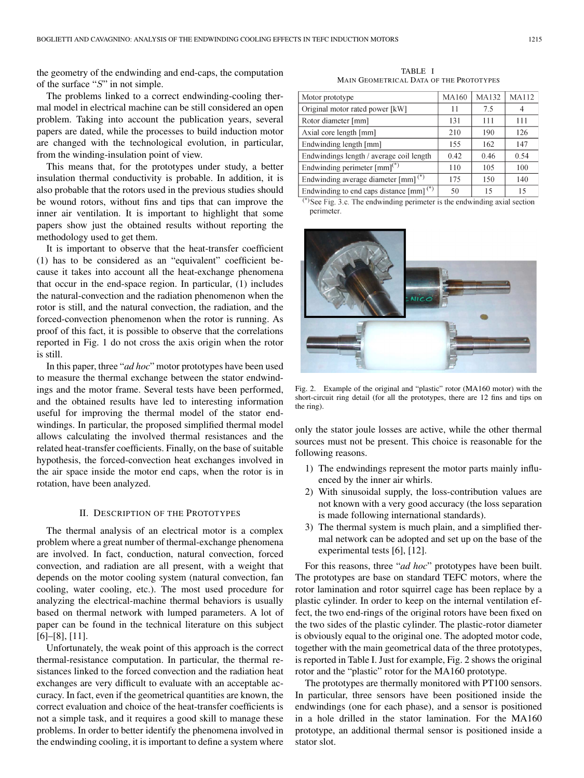the geometry of the endwinding and end-caps, the computation of the surface " $S$ " in not simple.

The problems linked to a correct endwinding-cooling thermal model in electrical machine can be still considered an open problem. Taking into account the publication years, several papers are dated, while the processes to build induction motor are changed with the technological evolution, in particular, from the winding-insulation point of view.

This means that, for the prototypes under study, a better insulation thermal conductivity is probable. In addition, it is also probable that the rotors used in the previous studies should be wound rotors, without fins and tips that can improve the inner air ventilation. It is important to highlight that some papers show just the obtained results without reporting the methodology used to get them.

It is important to observe that the heat-transfer coefficient (1) has to be considered as an "equivalent" coefficient because it takes into account all the heat-exchange phenomena that occur in the end-space region. In particular, (1) includes the natural-convection and the radiation phenomenon when the rotor is still, and the natural convection, the radiation, and the forced-convection phenomenon when the rotor is running. As proof of this fact, it is possible to observe that the correlations reported in Fig. 1 do not cross the axis origin when the rotor is still.

In this paper, three "*ad hoc*" motor prototypes have been used to measure the thermal exchange between the stator endwindings and the motor frame. Several tests have been performed, and the obtained results have led to interesting information useful for improving the thermal model of the stator endwindings. In particular, the proposed simplified thermal model allows calculating the involved thermal resistances and the related heat-transfer coefficients. Finally, on the base of suitable hypothesis, the forced-convection heat exchanges involved in the air space inside the motor end caps, when the rotor is in rotation, have been analyzed.

#### II. DESCRIPTION OF THE PROTOTYPES

The thermal analysis of an electrical motor is a complex problem where a great number of thermal-exchange phenomena are involved. In fact, conduction, natural convection, forced convection, and radiation are all present, with a weight that depends on the motor cooling system (natural convection, fan cooling, water cooling, etc.). The most used procedure for analyzing the electrical-machine thermal behaviors is usually based on thermal network with lumped parameters. A lot of paper can be found in the technical literature on this subject [6]–[8], [11].

Unfortunately, the weak point of this approach is the correct thermal-resistance computation. In particular, the thermal resistances linked to the forced convection and the radiation heat exchanges are very difficult to evaluate with an acceptable accuracy. In fact, even if the geometrical quantities are known, the correct evaluation and choice of the heat-transfer coefficients is not a simple task, and it requires a good skill to manage these problems. In order to better identify the phenomena involved in the endwinding cooling, it is important to define a system where

TABLE I MAIN GEOMETRICAL DATA OF THE PROTOTYPES

| Motor prototype                                                 | MA160 | <b>MA132</b> | <b>MA112</b> |
|-----------------------------------------------------------------|-------|--------------|--------------|
| Original motor rated power [kW]                                 | 11    | 7.5          |              |
| Rotor diameter [mm]                                             | 131   | 111          | 111          |
| Axial core length [mm]                                          | 210   | 190          | 126          |
| Endwinding length [mm]                                          | 155   | 162          | 147          |
| Endwindings length / average coil length                        | 0.42  | 0.46         | 0.54         |
| Endwinding perimeter $\text{[mm]}^{(*)}$                        | 110   | 105          | 100          |
| Endwinding average diameter [mm] <sup>(*)</sup>                 | 175   | 150          | 140          |
| Endwinding to end caps distance $\lceil \text{mm} \rceil^{(*)}$ | 50    | 15           | 15           |

 $(*)$  See Fig. 3.c. The endwinding perimeter is the endwinding axial section perimeter.



Fig. 2. Example of the original and "plastic" rotor (MA160 motor) with the short-circuit ring detail (for all the prototypes, there are 12 fins and tips on the ring).

only the stator joule losses are active, while the other thermal sources must not be present. This choice is reasonable for the following reasons.

- 1) The endwindings represent the motor parts mainly influenced by the inner air whirls.
- 2) With sinusoidal supply, the loss-contribution values are not known with a very good accuracy (the loss separation is made following international standards).
- 3) The thermal system is much plain, and a simplified thermal network can be adopted and set up on the base of the experimental tests [6], [12].

For this reasons, three "*ad hoc*" prototypes have been built. The prototypes are base on standard TEFC motors, where the rotor lamination and rotor squirrel cage has been replace by a plastic cylinder. In order to keep on the internal ventilation effect, the two end-rings of the original rotors have been fixed on the two sides of the plastic cylinder. The plastic-rotor diameter is obviously equal to the original one. The adopted motor code, together with the main geometrical data of the three prototypes, is reported in Table I. Just for example, Fig. 2 shows the original rotor and the "plastic" rotor for the MA160 prototype.

The prototypes are thermally monitored with PT100 sensors. In particular, three sensors have been positioned inside the endwindings (one for each phase), and a sensor is positioned in a hole drilled in the stator lamination. For the MA160 prototype, an additional thermal sensor is positioned inside a stator slot.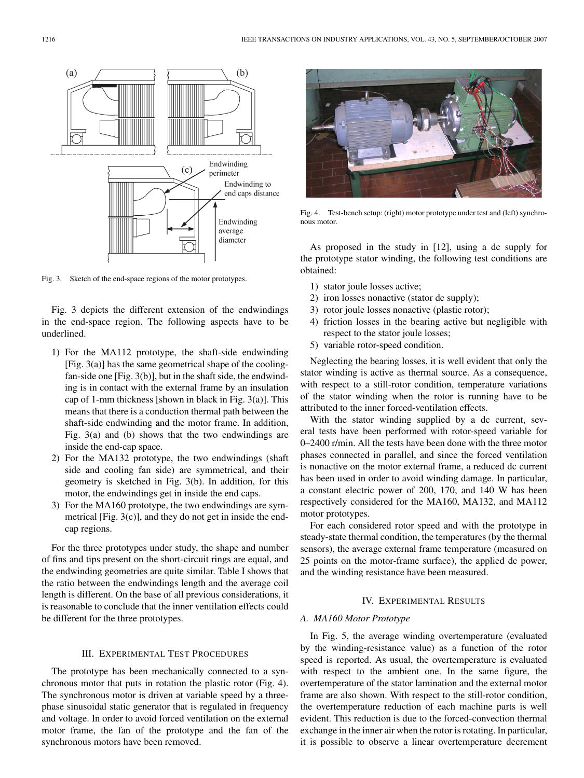

Fig. 3. Sketch of the end-space regions of the motor prototypes.

Fig. 3 depicts the different extension of the endwindings in the end-space region. The following aspects have to be underlined.

- 1) For the MA112 prototype, the shaft-side endwinding [Fig. 3(a)] has the same geometrical shape of the coolingfan-side one [Fig. 3(b)], but in the shaft side, the endwinding is in contact with the external frame by an insulation cap of 1-mm thickness [shown in black in Fig. 3(a)]. This means that there is a conduction thermal path between the shaft-side endwinding and the motor frame. In addition, Fig. 3(a) and (b) shows that the two endwindings are inside the end-cap space.
- 2) For the MA132 prototype, the two endwindings (shaft side and cooling fan side) are symmetrical, and their geometry is sketched in Fig. 3(b). In addition, for this motor, the endwindings get in inside the end caps.
- 3) For the MA160 prototype, the two endwindings are symmetrical [Fig. 3(c)], and they do not get in inside the endcap regions.

For the three prototypes under study, the shape and number of fins and tips present on the short-circuit rings are equal, and the endwinding geometries are quite similar. Table I shows that the ratio between the endwindings length and the average coil length is different. On the base of all previous considerations, it is reasonable to conclude that the inner ventilation effects could be different for the three prototypes.

# III. EXPERIMENTAL TEST PROCEDURES

The prototype has been mechanically connected to a synchronous motor that puts in rotation the plastic rotor (Fig. 4). The synchronous motor is driven at variable speed by a threephase sinusoidal static generator that is regulated in frequency and voltage. In order to avoid forced ventilation on the external motor frame, the fan of the prototype and the fan of the synchronous motors have been removed.



Fig. 4. Test-bench setup: (right) motor prototype under test and (left) synchronous motor.

As proposed in the study in [12], using a dc supply for the prototype stator winding, the following test conditions are obtained:

- 1) stator joule losses active;
- 2) iron losses nonactive (stator dc supply);
- 3) rotor joule losses nonactive (plastic rotor);
- 4) friction losses in the bearing active but negligible with respect to the stator joule losses;
- 5) variable rotor-speed condition.

Neglecting the bearing losses, it is well evident that only the stator winding is active as thermal source. As a consequence, with respect to a still-rotor condition, temperature variations of the stator winding when the rotor is running have to be attributed to the inner forced-ventilation effects.

With the stator winding supplied by a dc current, several tests have been performed with rotor-speed variable for 0–2400 r/min. All the tests have been done with the three motor phases connected in parallel, and since the forced ventilation is nonactive on the motor external frame, a reduced dc current has been used in order to avoid winding damage. In particular, a constant electric power of 200, 170, and 140 W has been respectively considered for the MA160, MA132, and MA112 motor prototypes.

For each considered rotor speed and with the prototype in steady-state thermal condition, the temperatures (by the thermal sensors), the average external frame temperature (measured on 25 points on the motor-frame surface), the applied dc power, and the winding resistance have been measured.

## IV. EXPERIMENTAL RESULTS

# *A. MA160 Motor Prototype*

In Fig. 5, the average winding overtemperature (evaluated by the winding-resistance value) as a function of the rotor speed is reported. As usual, the overtemperature is evaluated with respect to the ambient one. In the same figure, the overtemperature of the stator lamination and the external motor frame are also shown. With respect to the still-rotor condition, the overtemperature reduction of each machine parts is well evident. This reduction is due to the forced-convection thermal exchange in the inner air when the rotor is rotating. In particular, it is possible to observe a linear overtemperature decrement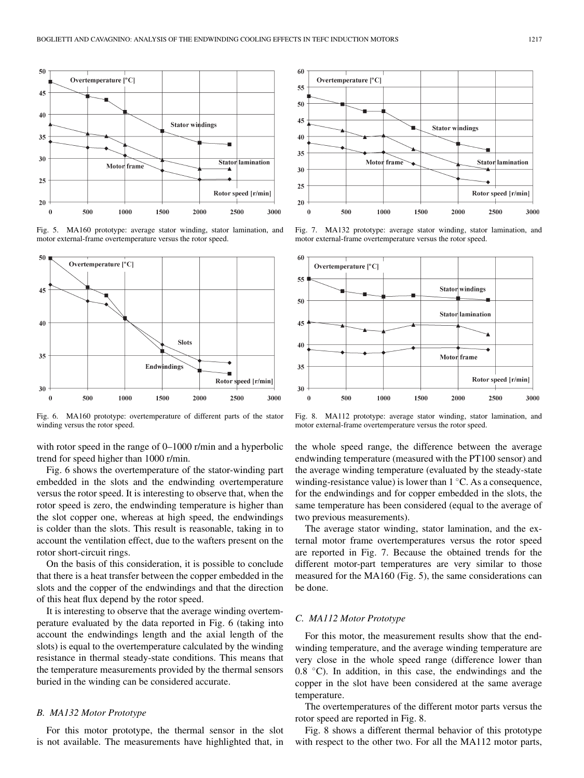

Fig. 5. MA160 prototype: average stator winding, stator lamination, and motor external-frame overtemperature versus the rotor speed.



Fig. 6. MA160 prototype: overtemperature of different parts of the stator winding versus the rotor speed.

with rotor speed in the range of 0–1000 r/min and a hyperbolic trend for speed higher than 1000 r/min.

Fig. 6 shows the overtemperature of the stator-winding part embedded in the slots and the endwinding overtemperature versus the rotor speed. It is interesting to observe that, when the rotor speed is zero, the endwinding temperature is higher than the slot copper one, whereas at high speed, the endwindings is colder than the slots. This result is reasonable, taking in to account the ventilation effect, due to the wafters present on the rotor short-circuit rings.

On the basis of this consideration, it is possible to conclude that there is a heat transfer between the copper embedded in the slots and the copper of the endwindings and that the direction of this heat flux depend by the rotor speed.

It is interesting to observe that the average winding overtemperature evaluated by the data reported in Fig. 6 (taking into account the endwindings length and the axial length of the slots) is equal to the overtemperature calculated by the winding resistance in thermal steady-state conditions. This means that the temperature measurements provided by the thermal sensors buried in the winding can be considered accurate.

### *B. MA132 Motor Prototype*

For this motor prototype, the thermal sensor in the slot is not available. The measurements have highlighted that, in



Fig. 7. MA132 prototype: average stator winding, stator lamination, and motor external-frame overtemperature versus the rotor speed.



Fig. 8. MA112 prototype: average stator winding, stator lamination, and motor external-frame overtemperature versus the rotor speed.

the whole speed range, the difference between the average endwinding temperature (measured with the PT100 sensor) and the average winding temperature (evaluated by the steady-state winding-resistance value) is lower than  $1 \degree C$ . As a consequence, for the endwindings and for copper embedded in the slots, the same temperature has been considered (equal to the average of two previous measurements).

The average stator winding, stator lamination, and the external motor frame overtemperatures versus the rotor speed are reported in Fig. 7. Because the obtained trends for the different motor-part temperatures are very similar to those measured for the MA160 (Fig. 5), the same considerations can be done.

#### *C. MA112 Motor Prototype*

For this motor, the measurement results show that the endwinding temperature, and the average winding temperature are very close in the whole speed range (difference lower than 0.8  $\degree$ C). In addition, in this case, the endwindings and the copper in the slot have been considered at the same average temperature.

The overtemperatures of the different motor parts versus the rotor speed are reported in Fig. 8.

Fig. 8 shows a different thermal behavior of this prototype with respect to the other two. For all the MA112 motor parts,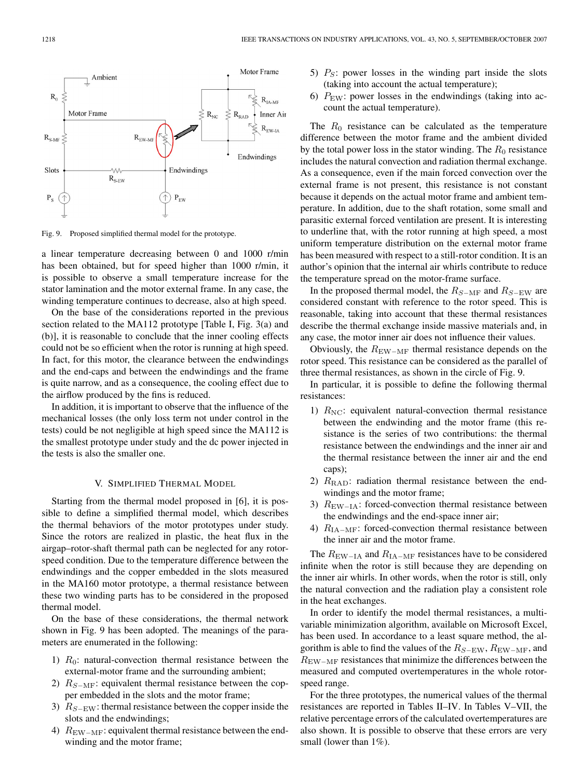

Fig. 9. Proposed simplified thermal model for the prototype.

a linear temperature decreasing between 0 and 1000 r/min has been obtained, but for speed higher than 1000 r/min, it is possible to observe a small temperature increase for the stator lamination and the motor external frame. In any case, the winding temperature continues to decrease, also at high speed.

On the base of the considerations reported in the previous section related to the MA112 prototype [Table I, Fig. 3(a) and (b)], it is reasonable to conclude that the inner cooling effects could not be so efficient when the rotor is running at high speed. In fact, for this motor, the clearance between the endwindings and the end-caps and between the endwindings and the frame is quite narrow, and as a consequence, the cooling effect due to the airflow produced by the fins is reduced.

In addition, it is important to observe that the influence of the mechanical losses (the only loss term not under control in the tests) could be not negligible at high speed since the MA112 is the smallest prototype under study and the dc power injected in the tests is also the smaller one.

#### V. SIMPLIFIED THERMAL MODEL

Starting from the thermal model proposed in [6], it is possible to define a simplified thermal model, which describes the thermal behaviors of the motor prototypes under study. Since the rotors are realized in plastic, the heat flux in the airgap–rotor-shaft thermal path can be neglected for any rotorspeed condition. Due to the temperature difference between the endwindings and the copper embedded in the slots measured in the MA160 motor prototype, a thermal resistance between these two winding parts has to be considered in the proposed thermal model.

On the base of these considerations, the thermal network shown in Fig. 9 has been adopted. The meanings of the parameters are enumerated in the following:

- 1)  $R_0$ : natural-convection thermal resistance between the external-motor frame and the surrounding ambient;
- 2)  $R_{S-MF}$ : equivalent thermal resistance between the copper embedded in the slots and the motor frame;
- 3)  $R_{S-EW}$ : thermal resistance between the copper inside the slots and the endwindings;
- 4)  $R_{\text{EW-MF}}$ : equivalent thermal resistance between the endwinding and the motor frame;
- 5)  $P<sub>S</sub>$ : power losses in the winding part inside the slots (taking into account the actual temperature);
- 6)  $P_{\text{EW}}$ : power losses in the endwindings (taking into account the actual temperature).

The  $R_0$  resistance can be calculated as the temperature difference between the motor frame and the ambient divided by the total power loss in the stator winding. The  $R_0$  resistance includes the natural convection and radiation thermal exchange. As a consequence, even if the main forced convection over the external frame is not present, this resistance is not constant because it depends on the actual motor frame and ambient temperature. In addition, due to the shaft rotation, some small and parasitic external forced ventilation are present. It is interesting to underline that, with the rotor running at high speed, a most uniform temperature distribution on the external motor frame has been measured with respect to a still-rotor condition. It is an author's opinion that the internal air whirls contribute to reduce the temperature spread on the motor-frame surface.

In the proposed thermal model, the  $R_{S-NF}$  and  $R_{S-EW}$  are considered constant with reference to the rotor speed. This is reasonable, taking into account that these thermal resistances describe the thermal exchange inside massive materials and, in any case, the motor inner air does not influence their values.

Obviously, the  $R_{\text{EW}-\text{MF}}$  thermal resistance depends on the rotor speed. This resistance can be considered as the parallel of three thermal resistances, as shown in the circle of Fig. 9.

In particular, it is possible to define the following thermal resistances:

- 1)  $R_{\text{NC}}$ : equivalent natural-convection thermal resistance between the endwinding and the motor frame (this resistance is the series of two contributions: the thermal resistance between the endwindings and the inner air and the thermal resistance between the inner air and the end caps):
- 2)  $R_{\rm RAD}$ : radiation thermal resistance between the endwindings and the motor frame;
- 3)  $R_{\text{EW}-IA}$ : forced-convection thermal resistance between the endwindings and the end-space inner air;
- 4)  $R_{IA-MF}$ : forced-convection thermal resistance between the inner air and the motor frame.

The  $R_{\text{EW-IA}}$  and  $R_{\text{IA-MF}}$  resistances have to be considered infinite when the rotor is still because they are depending on the inner air whirls. In other words, when the rotor is still, only the natural convection and the radiation play a consistent role in the heat exchanges.

In order to identify the model thermal resistances, a multivariable minimization algorithm, available on Microsoft Excel, has been used. In accordance to a least square method, the algorithm is able to find the values of the  $R_{S-{\rm EW}}, R_{\rm EW-MF}$ , and  $R_{\text{EW-MF}}$  resistances that minimize the differences between the measured and computed overtemperatures in the whole rotorspeed range.

For the three prototypes, the numerical values of the thermal resistances are reported in Tables II–IV. In Tables V–VII, the relative percentage errors of the calculated overtemperatures are also shown. It is possible to observe that these errors are very small (lower than  $1\%$ ).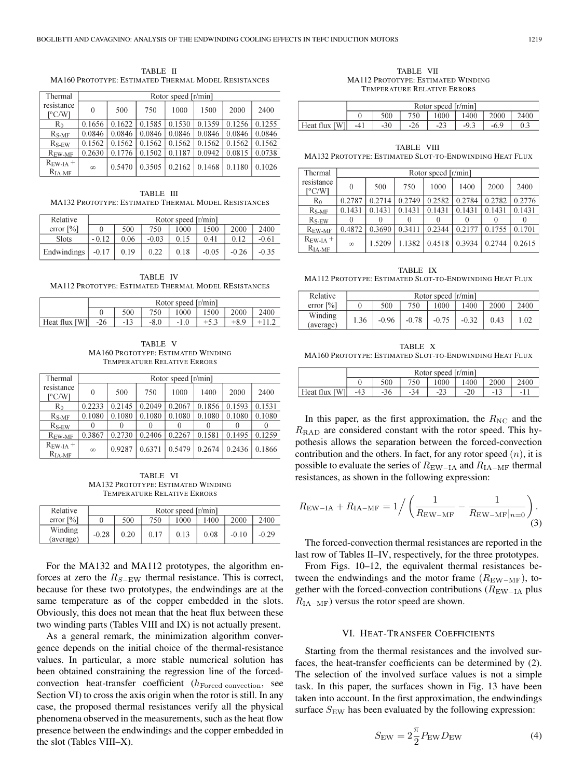TABLE II MA160 PROTOTYPE: ESTIMATED THERMAL MODEL RESISTANCES

| Thermal                             |              | Rotor speed [r/min] |        |        |        |        |        |  |  |  |  |
|-------------------------------------|--------------|---------------------|--------|--------|--------|--------|--------|--|--|--|--|
| resistance<br>$\lceil^{\circ}$ C/W] | $\theta$     | 500                 | 750    | 1000   | 1500   | 2000   | 2400   |  |  |  |  |
| $R_0$                               | 0.1656       | 0.1622              | 0.1585 | 0.1530 | 0.1359 | 0.1256 | 0.1255 |  |  |  |  |
| $R_{S-MF}$                          | 0.0846       | 0.0846              | 0.0846 | 0.0846 | 0.0846 | 0.0846 | 0.0846 |  |  |  |  |
| $R_{S-EW}$                          | 0.1562       | 0.1562              | 0.1562 | 0.1562 | 0.1562 | 0.1562 | 0.1562 |  |  |  |  |
| $R_{EW-MF}$                         | 0.2630       | 0.1776              | 0.1502 | 0.1187 | 0.0942 | 0.0815 | 0.0738 |  |  |  |  |
| $R_{EW-IA}$ +<br>$R_{IA-MF}$        | ${}^{\circ}$ | 0.5470              | 0.3505 | 0.2162 | 0.1468 | 0.1180 | 0.1026 |  |  |  |  |

TABLE III MA132 PROTOTYPE: ESTIMATED THERMAL MODEL RESISTANCES

| Relative     |         | Rotor speed [r/min] |         |      |         |         |         |  |  |
|--------------|---------|---------------------|---------|------|---------|---------|---------|--|--|
| error $[\%]$ |         | 500                 | 750     | 1000 | 1500    | 2000    | 2400    |  |  |
| <b>Slots</b> | $-0.12$ | 0.06                | $-0.03$ | 0.15 | 0.41    | 0.12    | $-0.61$ |  |  |
| Endwindings  | $-0.17$ | 0.19                | 0.22    | 0.18 | $-0.05$ | $-0.26$ | $-0.35$ |  |  |

TABLE IV MA112 PROTOTYPE: ESTIMATED THERMAL MODEL RESISTANCES

|               |       | Rotor speed [r/min] |        |        |      |        |      |  |  |  |  |
|---------------|-------|---------------------|--------|--------|------|--------|------|--|--|--|--|
|               |       | 500                 | 750    | 1000   | 1500 | 2000   | 2400 |  |  |  |  |
| Heat flux [W] | $-26$ | $-13$               | $-8.0$ | $-1.0$ |      | $+8.9$ |      |  |  |  |  |

TABLE V MA160 PROTOTYPE: ESTIMATED WINDING TEMPERATURE RELATIVE ERRORS

| Thermal                             |          | Rotor speed [r/min] |        |        |        |        |        |  |  |  |  |
|-------------------------------------|----------|---------------------|--------|--------|--------|--------|--------|--|--|--|--|
| resistance<br>$\lceil^{\circ}$ C/W] | $\theta$ | 500                 | 750    | 1000   | 1400   | 2000   | 2400   |  |  |  |  |
| $R_0$                               | 0.2233   | 0.2145              | 0.2049 | 0.2067 | 0.1856 | 0.1593 | 0.1531 |  |  |  |  |
| $R_{S-MF}$                          | 0.1080   | 0.1080              | 0.1080 | 0.1080 | 0.1080 | 0.1080 | 0.1080 |  |  |  |  |
| $R_{S-EW}$                          |          |                     |        |        |        |        |        |  |  |  |  |
| $R_{\rm EW-MF}$                     | 0.3867   | 0.2730              | 0.2406 | 0.2267 | 0.1581 | 0.1495 | 0.1259 |  |  |  |  |
| $R_{EW-IA}$ +<br>$R_{IA\text{-MF}}$ | $\infty$ | 0.9287              | 0.6371 | 0.5479 | 0.2674 | 0.2436 | 0.1866 |  |  |  |  |

TABLE VI MA132 PROTOTYPE: ESTIMATED WINDING TEMPERATURE RELATIVE ERRORS

| Relative             |         | Rotor speed [r/min] |     |      |      |         |         |  |
|----------------------|---------|---------------------|-----|------|------|---------|---------|--|
| error $[\%]$         |         | 500                 | 750 | 1000 | 1400 | 2000    | 2400    |  |
| Winding<br>(average) | $-0.28$ | 0.20                |     | 0.13 | 0.08 | $-0.10$ | $-0.29$ |  |

For the MA132 and MA112 prototypes, the algorithm enforces at zero the  $R_{S-EW}$  thermal resistance. This is correct, because for these two prototypes, the endwindings are at the same temperature as of the copper embedded in the slots. Obviously, this does not mean that the heat flux between these two winding parts (Tables VIII and IX) is not actually present.

As a general remark, the minimization algorithm convergence depends on the initial choice of the thermal-resistance values. In particular, a more stable numerical solution has been obtained constraining the regression line of the forcedconvection heat-transfer coefficient  $(h_{\text{Forced convection}})$ , see Section VI) to cross the axis origin when the rotor is still. In any case, the proposed thermal resistances verify all the physical phenomena observed in the measurements, such as the heat flow presence between the endwindings and the copper embedded in the slot (Tables VIII–X).

TABLE VII MA112 PROTOTYPE: ESTIMATED WINDING TEMPERATURE RELATIVE ERRORS

|               |       | Rotor speed [r/min]       |       |       |        |      |     |  |  |
|---------------|-------|---------------------------|-------|-------|--------|------|-----|--|--|
|               |       | 400<br>500<br>750<br>1000 |       |       |        |      |     |  |  |
| Heat flux [W] | $-41$ | $-30$                     | $-26$ | $-23$ | $-9.3$ | -6.9 | 0.3 |  |  |

TABLE VIII MA132 PROTOTYPE: ESTIMATED SLOT-TO-ENDWINDING HEAT FLUX

| Thermal                             |          | Rotor speed [r/min] |        |        |        |        |        |  |  |  |  |
|-------------------------------------|----------|---------------------|--------|--------|--------|--------|--------|--|--|--|--|
| resistance<br>$\lceil^{\circ}$ C/W] | $\theta$ | 500                 | 750    | 1000   | 1400   | 2000   | 2400   |  |  |  |  |
| $R_0$                               | 0.2787   | 0.2714              | 0.2749 | 0.2582 | 0.2784 | 0.2782 | 0.2776 |  |  |  |  |
| $R_{S-MF}$                          | 0.1431   | 0.1431              | 0.1431 | 0.1431 | 0.1431 | 0.1431 | 0.1431 |  |  |  |  |
| $R_{S-EW}$                          |          |                     |        |        |        |        |        |  |  |  |  |
| $R_{EW-MF}$                         | 0.4872   | 0.3690              | 0.3411 | 0.2344 | 0.2177 | 0.1755 | 0.1701 |  |  |  |  |
| $R_{EW-IA} +$<br>$R_{IA-MF}$        | $\infty$ | 1.5209              | 1.1382 | 0.4518 | 0.3934 | 0.2744 | 0.2615 |  |  |  |  |

TABLE IX MA112 PROTOTYPE: ESTIMATED SLOT-TO-ENDWINDING HEAT FLUX

| Relative             |      | Rotor speed [r/min] |         |         |         |      |      |  |  |  |
|----------------------|------|---------------------|---------|---------|---------|------|------|--|--|--|
| error $[\%]$         |      | 500                 | 750     | 1000    | 1400    | 2000 | 2400 |  |  |  |
| Winding<br>(average) | 1.36 | $-0.96$             | $-0.78$ | $-0.75$ | $-0.32$ | 0.43 |      |  |  |  |

TABLE X MA160 PROTOTYPE: ESTIMATED SLOT-TO-ENDWINDING HEAT FLUX

|               |       | Rotor speed [r/min] |        |                      |     |      |  |  |  |
|---------------|-------|---------------------|--------|----------------------|-----|------|--|--|--|
|               |       | 500                 | 750    | 1000                 | 400 | 2000 |  |  |  |
| Heat flux [W] | $-43$ | $\gamma$<br>-30     | 34<br> | $\mathcal{L}$<br>-20 | -20 | ۰    |  |  |  |

In this paper, as the first approximation, the  $R_{\text{NC}}$  and the  $R_{\text{BAD}}$  are considered constant with the rotor speed. This hypothesis allows the separation between the forced-convection contribution and the others. In fact, for any rotor speed  $(n)$ , it is possible to evaluate the series of  $R_{\text{EW}-\text{IA}}$  and  $R_{\text{IA}-\text{MF}}$  thermal resistances, as shown in the following expression:

$$
R_{\text{EW-IA}} + R_{\text{IA-MF}} = 1 / \left( \frac{1}{R_{\text{EW-MF}}} - \frac{1}{R_{\text{EW-MF}}|_{n=0}} \right). \tag{3}
$$

The forced-convection thermal resistances are reported in the last row of Tables II–IV, respectively, for the three prototypes.

From Figs. 10–12, the equivalent thermal resistances between the endwindings and the motor frame  $(R_{\text{EW}-\text{MF}})$ , together with the forced-convection contributions ( $R_{\text{EW}-IA}$  plus  $R_{\text{IA-MF}}$ ) versus the rotor speed are shown.

#### VI. HEAT-TRANSFER COEFFICIENTS

Starting from the thermal resistances and the involved surfaces, the heat-transfer coefficients can be determined by (2). The selection of the involved surface values is not a simple task. In this paper, the surfaces shown in Fig. 13 have been taken into account. In the first approximation, the endwindings surface  $S_{\text{EW}}$  has been evaluated by the following expression:

$$
S_{\rm EW} = 2\frac{\pi}{2} P_{\rm EW} D_{\rm EW} \tag{4}
$$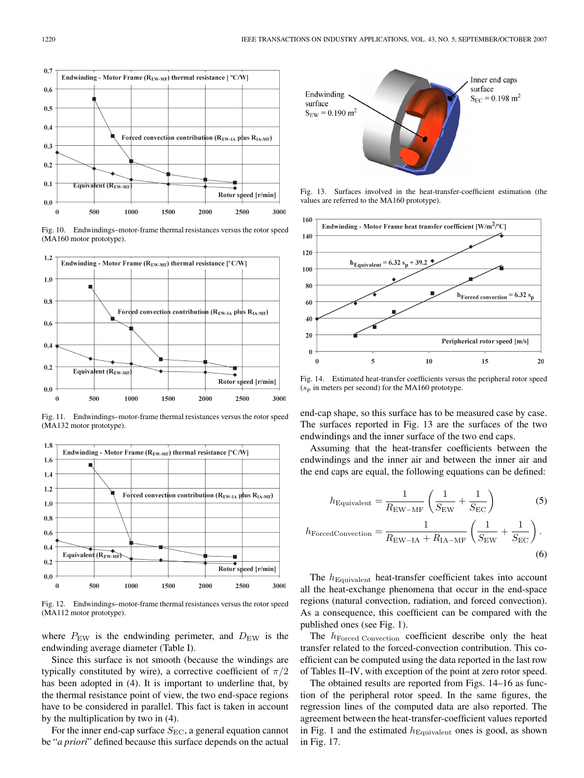

Fig. 10. Endwindings–motor-frame thermal resistances versus the rotor speed (MA160 motor prototype).



Fig. 11. Endwindings–motor-frame thermal resistances versus the rotor speed (MA132 motor prototype).



Fig. 12. Endwindings–motor-frame thermal resistances versus the rotor speed (MA112 motor prototype).

where  $P_{\text{EW}}$  is the endwinding perimeter, and  $D_{\text{EW}}$  is the endwinding average diameter (Table I).

Since this surface is not smooth (because the windings are typically constituted by wire), a corrective coefficient of  $\pi/2$ has been adopted in (4). It is important to underline that, by the thermal resistance point of view, the two end-space regions have to be considered in parallel. This fact is taken in account by the multiplication by two in (4).

For the inner end-cap surface  $S_{\text{EC}}$ , a general equation cannot be "*a priori*" defined because this surface depends on the actual



Fig. 13. Surfaces involved in the heat-transfer-coefficient estimation (the values are referred to the MA160 prototype).



Fig. 14. Estimated heat-transfer coefficients versus the peripheral rotor speed  $(s_p$  in meters per second) for the MA160 prototype.

end-cap shape, so this surface has to be measured case by case. The surfaces reported in Fig. 13 are the surfaces of the two endwindings and the inner surface of the two end caps.

Assuming that the heat-transfer coefficients between the endwindings and the inner air and between the inner air and the end caps are equal, the following equations can be defined:

$$
h_{\text{Equivalent}} = \frac{1}{R_{\text{EW-MF}}} \left( \frac{1}{S_{\text{EW}}} + \frac{1}{S_{\text{EC}}} \right) \tag{5}
$$

$$
h_{\text{ForcedConvection}} = \frac{1}{R_{\text{EW}-\text{IA}} + R_{\text{IA}-\text{MF}}} \left( \frac{1}{S_{\text{EW}}} + \frac{1}{S_{\text{EC}}} \right). \tag{6}
$$

The  $h_{\text{Equivalent}}$  heat-transfer coefficient takes into account all the heat-exchange phenomena that occur in the end-space regions (natural convection, radiation, and forced convection). As a consequence, this coefficient can be compared with the published ones (see Fig. 1).

The  $h$ <sub>Forced Convection</sub> coefficient describe only the heat transfer related to the forced-convection contribution. This coefficient can be computed using the data reported in the last row of Tables II–IV, with exception of the point at zero rotor speed.

The obtained results are reported from Figs. 14–16 as function of the peripheral rotor speed. In the same figures, the regression lines of the computed data are also reported. The agreement between the heat-transfer-coefficient values reported in Fig. 1 and the estimated  $h_{\text{Equivalent}}$  ones is good, as shown in Fig. 17.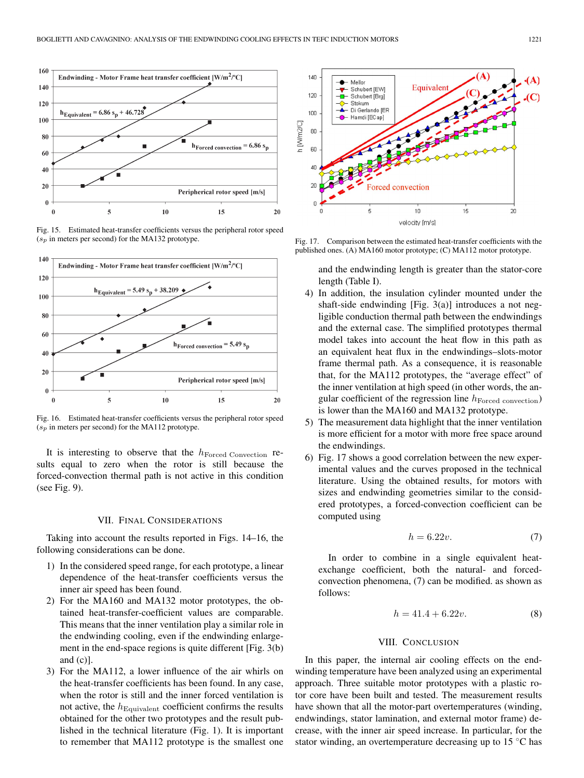

Fig. 15. Estimated heat-transfer coefficients versus the peripheral rotor speed  $(s_p$  in meters per second) for the MA132 prototype.



Fig. 16. Estimated heat-transfer coefficients versus the peripheral rotor speed  $(s_p$  in meters per second) for the MA112 prototype.

It is interesting to observe that the  $h$ <sub>Forced Convection</sub> results equal to zero when the rotor is still because the forced-convection thermal path is not active in this condition (see Fig. 9).

#### VII. FINAL CONSIDERATIONS

Taking into account the results reported in Figs. 14–16, the following considerations can be done.

- 1) In the considered speed range, for each prototype, a linear dependence of the heat-transfer coefficients versus the inner air speed has been found.
- 2) For the MA160 and MA132 motor prototypes, the obtained heat-transfer-coefficient values are comparable. This means that the inner ventilation play a similar role in the endwinding cooling, even if the endwinding enlargement in the end-space regions is quite different [Fig. 3(b) and  $(c)$ ].
- 3) For the MA112, a lower influence of the air whirls on the heat-transfer coefficients has been found. In any case, when the rotor is still and the inner forced ventilation is not active, the  $h_{\text{Equivalent}}$  coefficient confirms the results obtained for the other two prototypes and the result published in the technical literature (Fig. 1). It is important to remember that MA112 prototype is the smallest one



Fig. 17. Comparison between the estimated heat-transfer coefficients with the published ones. (A) MA160 motor prototype; (C) MA112 motor prototype.

and the endwinding length is greater than the stator-core length (Table I).

- 4) In addition, the insulation cylinder mounted under the shaft-side endwinding [Fig. 3(a)] introduces a not negligible conduction thermal path between the endwindings and the external case. The simplified prototypes thermal model takes into account the heat flow in this path as an equivalent heat flux in the endwindings–slots-motor frame thermal path. As a consequence, it is reasonable that, for the MA112 prototypes, the "average effect" of the inner ventilation at high speed (in other words, the angular coefficient of the regression line  $h_{\text{Forced convection}}$ ) is lower than the MA160 and MA132 prototype.
- 5) The measurement data highlight that the inner ventilation is more efficient for a motor with more free space around the endwindings.
- 6) Fig. 17 shows a good correlation between the new experimental values and the curves proposed in the technical literature. Using the obtained results, for motors with sizes and endwinding geometries similar to the considered prototypes, a forced-convection coefficient can be computed using

$$
h = 6.22v.\t(7)
$$

In order to combine in a single equivalent heatexchange coefficient, both the natural- and forcedconvection phenomena, (7) can be modified. as shown as follows:

$$
h = 41.4 + 6.22v.\t\t(8)
$$

#### VIII. CONCLUSION

In this paper, the internal air cooling effects on the endwinding temperature have been analyzed using an experimental approach. Three suitable motor prototypes with a plastic rotor core have been built and tested. The measurement results have shown that all the motor-part overtemperatures (winding, endwindings, stator lamination, and external motor frame) decrease, with the inner air speed increase. In particular, for the stator winding, an overtemperature decreasing up to 15  $\degree$ C has